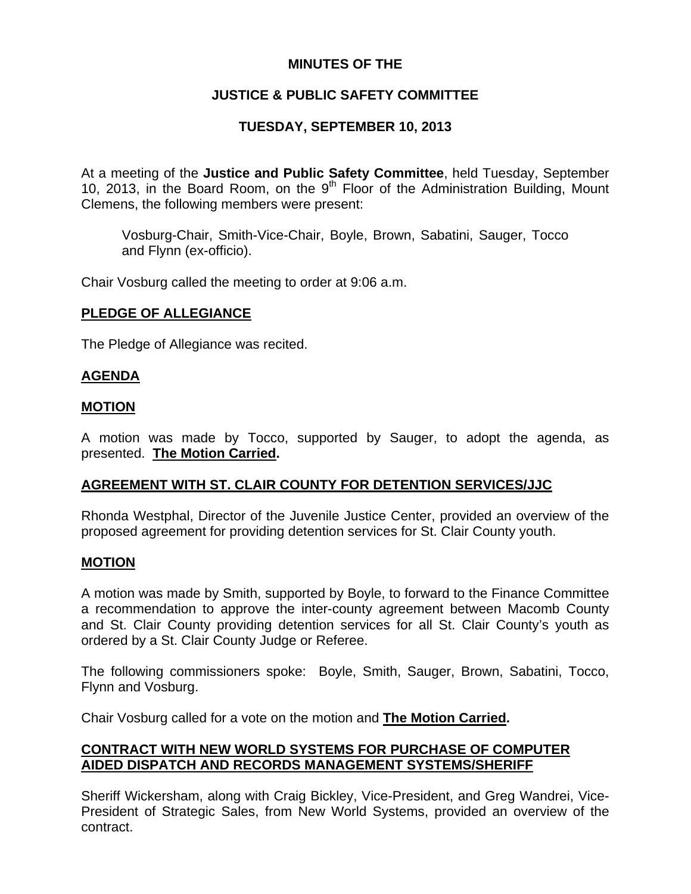## **MINUTES OF THE**

# **JUSTICE & PUBLIC SAFETY COMMITTEE**

# **TUESDAY, SEPTEMBER 10, 2013**

At a meeting of the **Justice and Public Safety Committee**, held Tuesday, September 10, 2013, in the Board Room, on the  $9<sup>th</sup>$  Floor of the Administration Building, Mount Clemens, the following members were present:

Vosburg-Chair, Smith-Vice-Chair, Boyle, Brown, Sabatini, Sauger, Tocco and Flynn (ex-officio).

Chair Vosburg called the meeting to order at 9:06 a.m.

### **PLEDGE OF ALLEGIANCE**

The Pledge of Allegiance was recited.

## **AGENDA**

### **MOTION**

A motion was made by Tocco, supported by Sauger, to adopt the agenda, as presented. **The Motion Carried.** 

## **AGREEMENT WITH ST. CLAIR COUNTY FOR DETENTION SERVICES/JJC**

Rhonda Westphal, Director of the Juvenile Justice Center, provided an overview of the proposed agreement for providing detention services for St. Clair County youth.

#### **MOTION**

A motion was made by Smith, supported by Boyle, to forward to the Finance Committee a recommendation to approve the inter-county agreement between Macomb County and St. Clair County providing detention services for all St. Clair County's youth as ordered by a St. Clair County Judge or Referee.

The following commissioners spoke: Boyle, Smith, Sauger, Brown, Sabatini, Tocco, Flynn and Vosburg.

Chair Vosburg called for a vote on the motion and **The Motion Carried.**

## **CONTRACT WITH NEW WORLD SYSTEMS FOR PURCHASE OF COMPUTER AIDED DISPATCH AND RECORDS MANAGEMENT SYSTEMS/SHERIFF**

Sheriff Wickersham, along with Craig Bickley, Vice-President, and Greg Wandrei, Vice-President of Strategic Sales, from New World Systems, provided an overview of the contract.